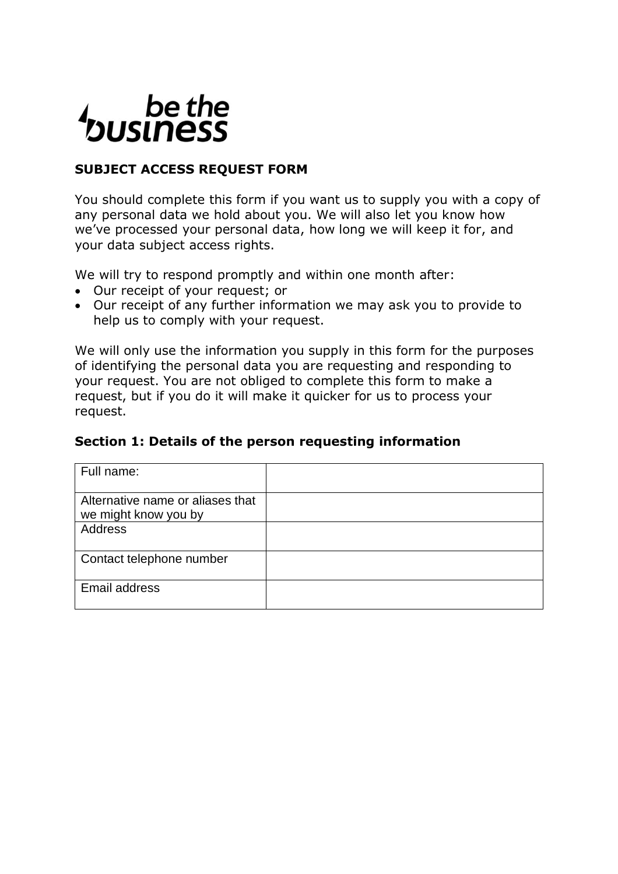# be the<br>business

# **SUBJECT ACCESS REQUEST FORM**

You should complete this form if you want us to supply you with a copy of any personal data we hold about you. We will also let you know how we've processed your personal data, how long we will keep it for, and your data subject access rights.

We will try to respond promptly and within one month after:

- Our receipt of your request; or
- Our receipt of any further information we may ask you to provide to help us to comply with your request.

We will only use the information you supply in this form for the purposes of identifying the personal data you are requesting and responding to your request. You are not obliged to complete this form to make a request, but if you do it will make it quicker for us to process your request.

### **Section 1: Details of the person requesting information**

| Full name:                                               |  |
|----------------------------------------------------------|--|
| Alternative name or aliases that<br>we might know you by |  |
| Address                                                  |  |
| Contact telephone number                                 |  |
| Email address                                            |  |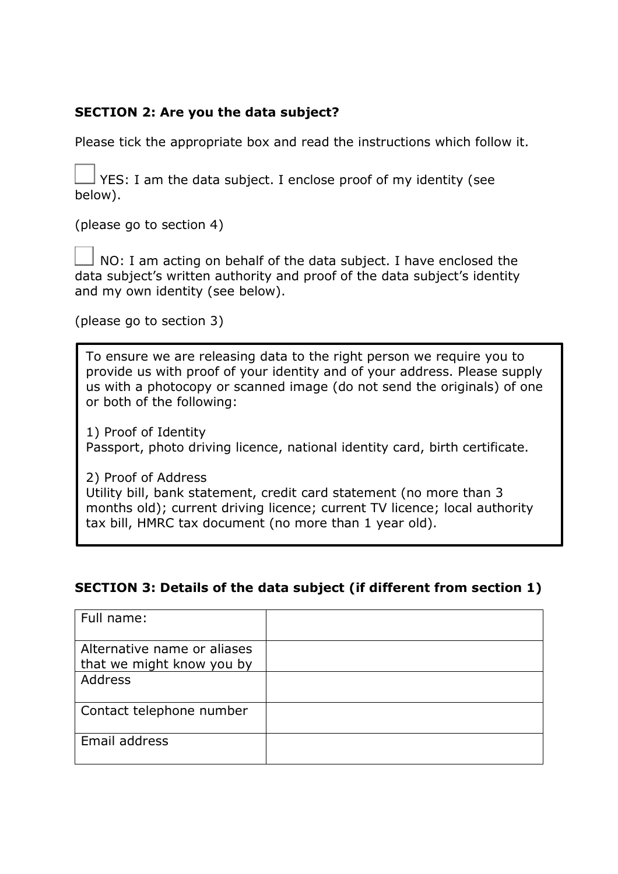# **SECTION 2: Are you the data subject?**

Please tick the appropriate box and read the instructions which follow it.

YES: I am the data subject. I enclose proof of my identity (see below).

(please go to section 4)

 NO: I am acting on behalf of the data subject. I have enclosed the data subject's written authority and proof of the data subject's identity and my own identity (see below).

(please go to section 3)

To ensure we are releasing data to the right person we require you to provide us with proof of your identity and of your address. Please supply us with a photocopy or scanned image (do not send the originals) of one or both of the following:

1) Proof of Identity Passport, photo driving licence, national identity card, birth certificate.

2) Proof of Address

Utility bill, bank statement, credit card statement (no more than 3 months old); current driving licence; current TV licence; local authority tax bill, HMRC tax document (no more than 1 year old).

# **SECTION 3: Details of the data subject (if different from section 1)**

| Full name:                                               |  |
|----------------------------------------------------------|--|
| Alternative name or aliases<br>that we might know you by |  |
| Address                                                  |  |
| Contact telephone number                                 |  |
| Email address                                            |  |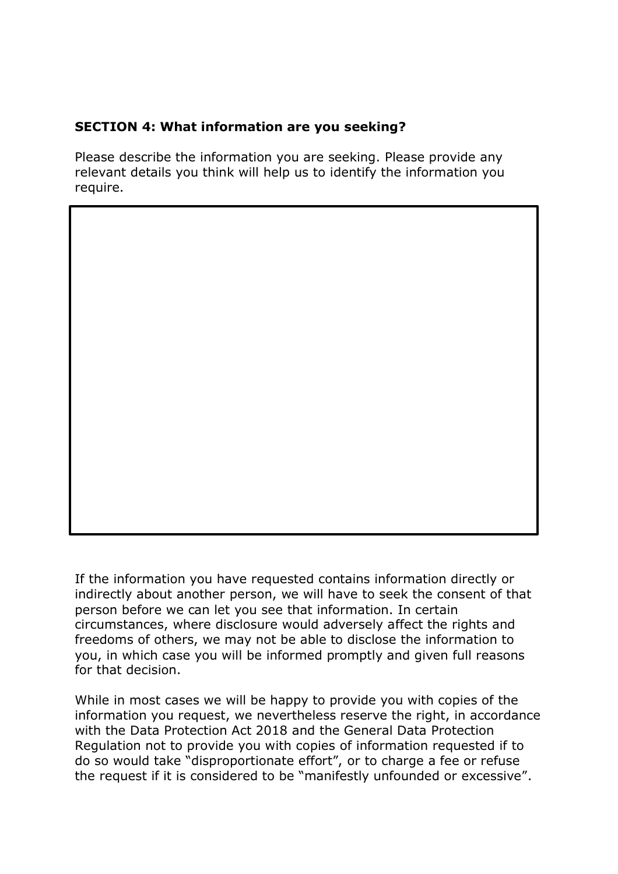## **SECTION 4: What information are you seeking?**

Please describe the information you are seeking. Please provide any relevant details you think will help us to identify the information you require.

If the information you have requested contains information directly or indirectly about another person, we will have to seek the consent of that person before we can let you see that information. In certain circumstances, where disclosure would adversely affect the rights and freedoms of others, we may not be able to disclose the information to you, in which case you will be informed promptly and given full reasons for that decision.

While in most cases we will be happy to provide you with copies of the information you request, we nevertheless reserve the right, in accordance with the Data Protection Act 2018 and the General Data Protection Regulation not to provide you with copies of information requested if to do so would take "disproportionate effort", or to charge a fee or refuse the request if it is considered to be "manifestly unfounded or excessive".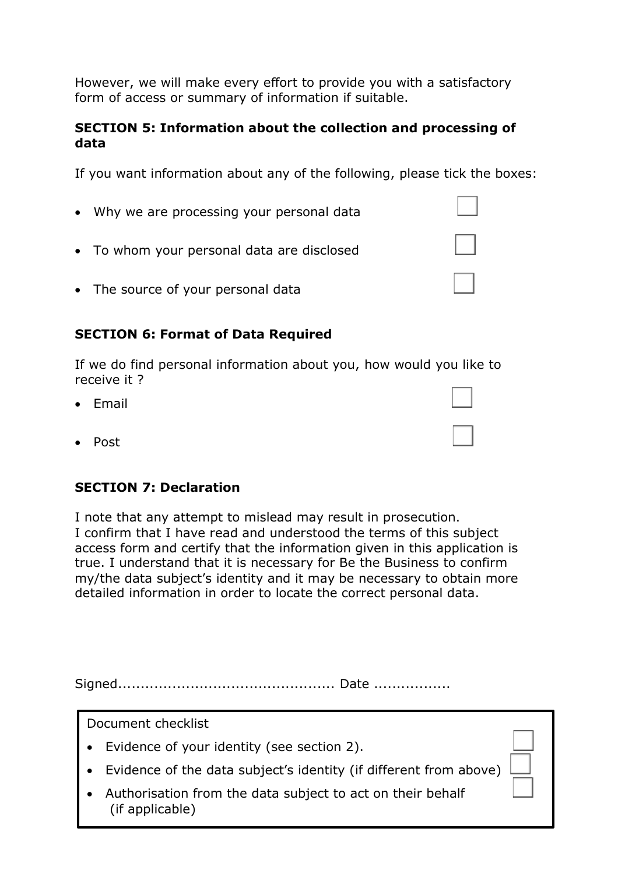However, we will make every effort to provide you with a satisfactory form of access or summary of information if suitable.

### **SECTION 5: Information about the collection and processing of data**

If you want information about any of the following, please tick the boxes:

- Why we are processing your personal data
- To whom your personal data are disclosed
- The source of your personal data

# **SECTION 6: Format of Data Required**

If we do find personal information about you, how would you like to receive it ?

- Email
- Post

## **SECTION 7: Declaration**

I note that any attempt to mislead may result in prosecution. I confirm that I have read and understood the terms of this subject access form and certify that the information given in this application is true. I understand that it is necessary for Be the Business to confirm my/the data subject's identity and it may be necessary to obtain more detailed information in order to locate the correct personal data.

Signed................................................ Date .................

Document checklist

- Evidence of your identity (see section 2).
- Evidence of the data subject's identity (if different from above)
- Authorisation from the data subject to act on their behalf (if applicable)